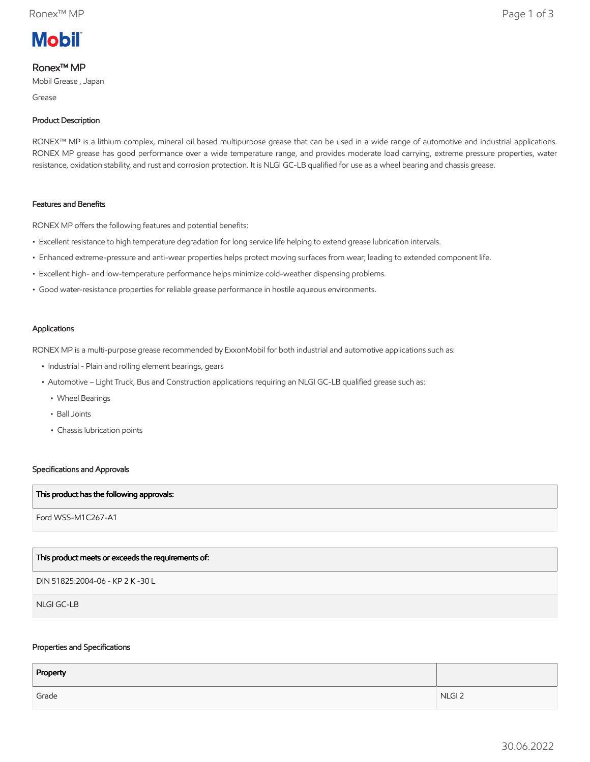

# Ronex™ MP

Mobil Grease , Japan

Grease

## Product Description

RONEX™ MP is a lithium complex, mineral oil based multipurpose grease that can be used in a wide range of automotive and industrial applications. RONEX MP grease has good performance over a wide temperature range, and provides moderate load carrying, extreme pressure properties, water resistance, oxidation stability, and rust and corrosion protection. It is NLGI GC-LB qualified for use as a wheel bearing and chassis grease.

### Features and Benefits

RONEX MP offers the following features and potential benefits:

- Excellent resistance to high temperature degradation for long service life helping to extend grease lubrication intervals.
- Enhanced extreme-pressure and anti-wear properties helps protect moving surfaces from wear; leading to extended component life.
- Excellent high- and low-temperature performance helps minimize cold-weather dispensing problems.
- Good water-resistance properties for reliable grease performance in hostile aqueous environments.

#### Applications

RONEX MP is a multi-purpose grease recommended by ExxonMobil for both industrial and automotive applications such as:

- Industrial Plain and rolling element bearings, gears
- • Automotive Light Truck, Bus and Construction applications requiring an NLGI GC-LB qualified grease such as:
	- Wheel Bearings
	- Ball Joints
	- Chassis lubrication points

### Specifications and Approvals

#### This product has the following approvals:

Ford WSS-M1C267-A1

### This product meets or exceeds the requirements of:

DIN 51825:2004-06 - KP 2 K -30 L

NLGI GC-LB

#### Properties and Specifications

| Property |                   |
|----------|-------------------|
| Grade    | NLGI <sub>2</sub> |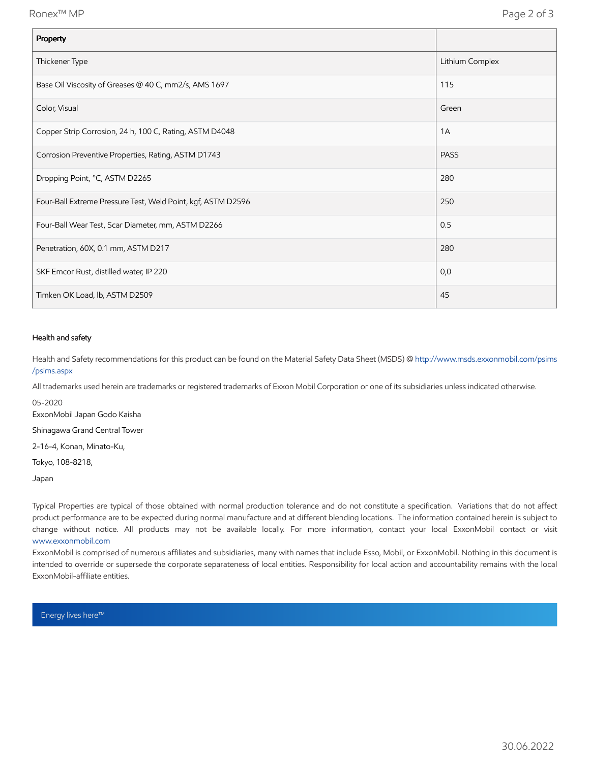| Property                                                     |                 |
|--------------------------------------------------------------|-----------------|
| Thickener Type                                               | Lithium Complex |
| Base Oil Viscosity of Greases @ 40 C, mm2/s, AMS 1697        | 115             |
| Color, Visual                                                | Green           |
| Copper Strip Corrosion, 24 h, 100 C, Rating, ASTM D4048      | 1A              |
| Corrosion Preventive Properties, Rating, ASTM D1743          | <b>PASS</b>     |
| Dropping Point, °C, ASTM D2265                               | 280             |
| Four-Ball Extreme Pressure Test, Weld Point, kgf, ASTM D2596 | 250             |
| Four-Ball Wear Test, Scar Diameter, mm, ASTM D2266           | 0.5             |
| Penetration, 60X, 0.1 mm, ASTM D217                          | 280             |
| SKF Emcor Rust, distilled water, IP 220                      | 0,0             |
| Timken OK Load, lb, ASTM D2509                               | 45              |

## Health and safety

Health and Safety recommendations for this product can be found on the Material Safety Data Sheet (MSDS) @ [http://www.msds.exxonmobil.com/psims](http://www.msds.exxonmobil.com/psims/psims.aspx) /psims.aspx

All trademarks used herein are trademarks or registered trademarks of Exxon Mobil Corporation or one of its subsidiaries unless indicated otherwise.

05-2020

ExxonMobil Japan Godo Kaisha

Shinagawa Grand Central Tower

2-16-4, Konan, Minato-Ku,

Tokyo, 108-8218,

Japan

Typical Properties are typical of those obtained with normal production tolerance and do not constitute a specification. Variations that do not affect product performance are to be expected during normal manufacture and at different blending locations. The information contained herein is subject to change without notice. All products may not be available locally. For more information, contact your local ExxonMobil contact or visit [www.exxonmobil.com](http://www.exxonmobil.com/)

ExxonMobil is comprised of numerous affiliates and subsidiaries, many with names that include Esso, Mobil, or ExxonMobil. Nothing in this document is intended to override or supersede the corporate separateness of local entities. Responsibility for local action and accountability remains with the local ExxonMobil-affiliate entities.

Energy lives here™